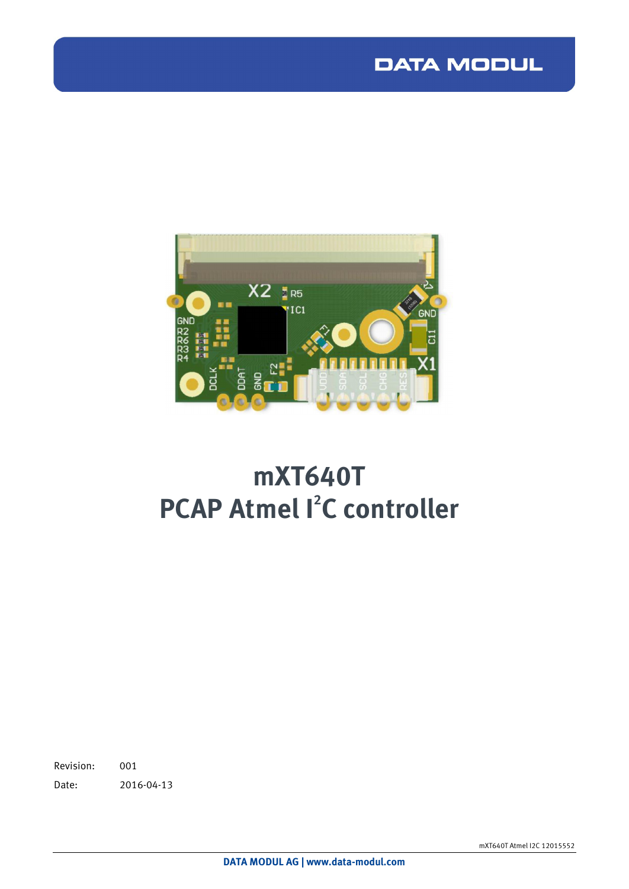## **DATA MODUL**



# **m XT640T PCAP** Atmel  $I^2C$  controller

Revision: 001 Date: 2016-04-13

m XT640T Atmel I2C 12015552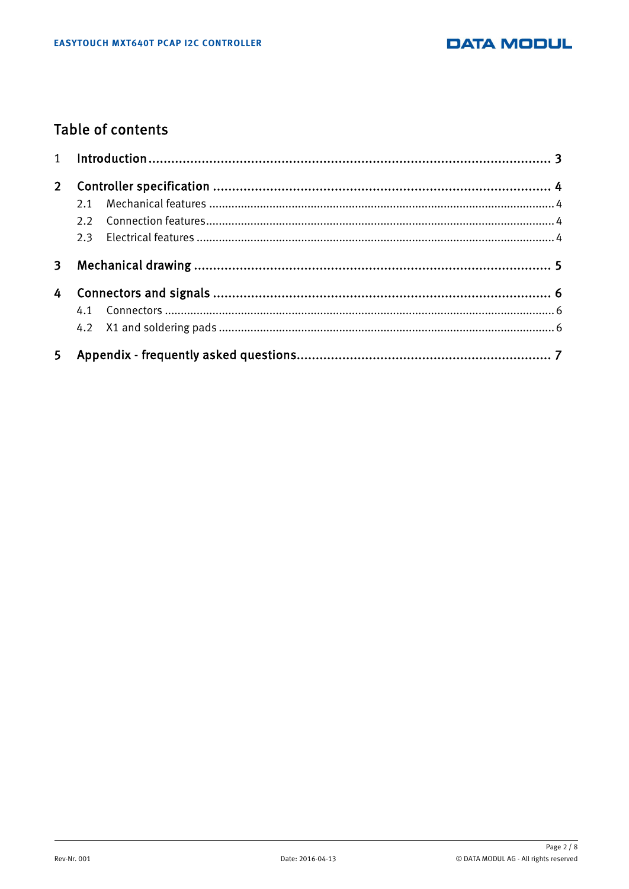

### **Table of contents**

| $2^{\circ}$ |  |  |  |
|-------------|--|--|--|
|             |  |  |  |
|             |  |  |  |
|             |  |  |  |
| 3           |  |  |  |
| 4           |  |  |  |
|             |  |  |  |
|             |  |  |  |
|             |  |  |  |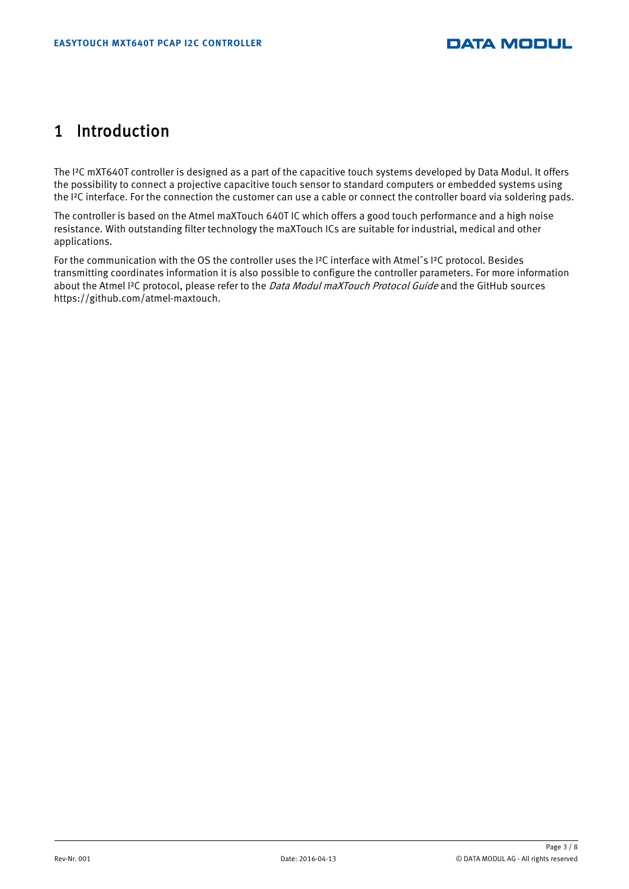## 1 Introduction

The I<sup>2</sup>C mXT640T controller is designed as a part of the capacitive touch systems developed by Data Modul. It offers the possibility to connect a projective capacitive touch sensor to standard computers or embedded systems using the I<sup>2</sup>C interface. For the connection the customer can use a cable or connect the controller board via soldering pads.

The controller is based on the Atmel maXTouch 640T IC which offers a good touch performance and a high noise resistance. With outstanding filter technology the maXTouch ICs are suitable for industrial, medical and other applications.

For the communication with the OS the controller uses the I<sup>2</sup>C interface with Atmel<sup>'</sup>s I<sup>2</sup>C protocol. Besides transmitting coordinates information it is also possible to configure the controller parameters. For more information about the Atmel I<sup>2</sup>C protocol, please refer to the *Data Modul maXTouch Protocol Guide* and the GitHub sources [https://github.com](https://github.com/atmel-maxtouch.)/atmel-maxtouch.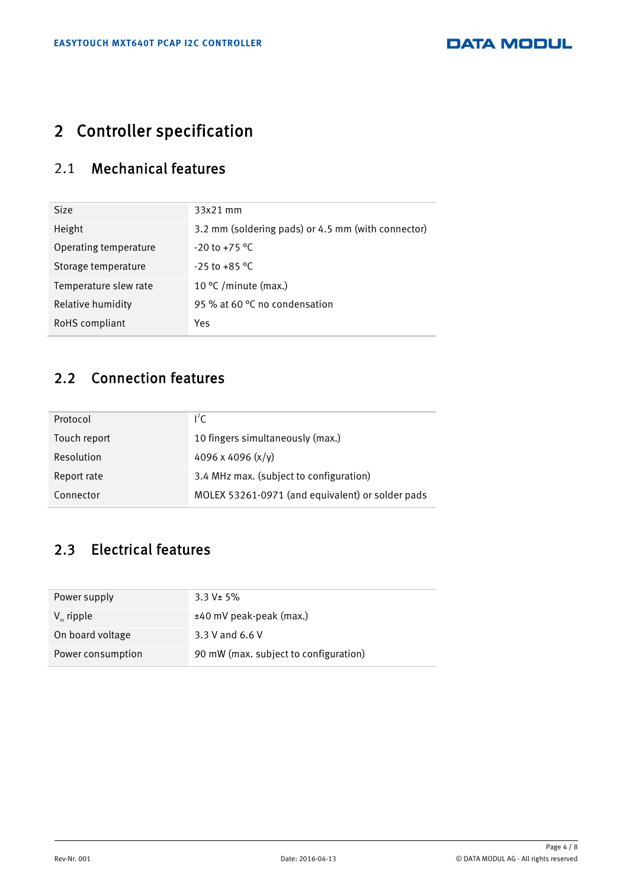## 2 Controller specification

### 2.1 Mechanical features

| $33x21$ mm                                         |  |
|----------------------------------------------------|--|
| 3.2 mm (soldering pads) or 4.5 mm (with connector) |  |
| $-20$ to $+75$ °C                                  |  |
| $-25$ to $+85$ °C                                  |  |
| 10 °C / minute (max.)                              |  |
| 95 % at 60 °C no condensation                      |  |
| Yes                                                |  |
|                                                    |  |

### 2.2 Connection features

| Protocol     | $l^2C$                                           |  |
|--------------|--------------------------------------------------|--|
| Touch report | 10 fingers simultaneously (max.)                 |  |
| Resolution   | 4096 x 4096 $(x/y)$                              |  |
| Report rate  | 3.4 MHz max. (subject to configuration)          |  |
| Connector    | MOLEX 53261-0971 (and equivalent) or solder pads |  |
|              |                                                  |  |

### 2.3 Electrical features

| 3.3 V± 5%                             |  |  |
|---------------------------------------|--|--|
| ±40 mV peak-peak (max.)               |  |  |
| 3.3 V and 6.6 V                       |  |  |
| 90 mW (max. subject to configuration) |  |  |
|                                       |  |  |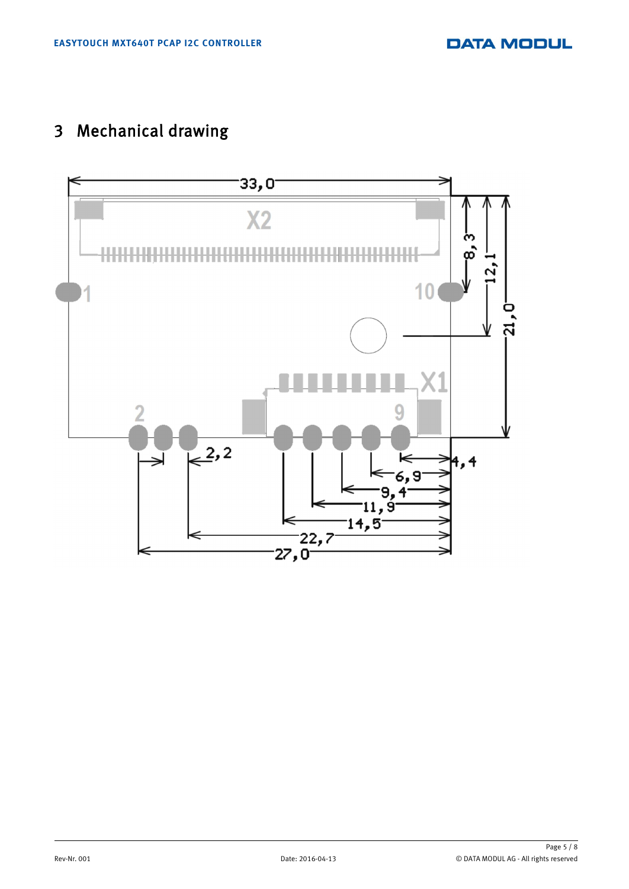## 3 Mechanical drawing

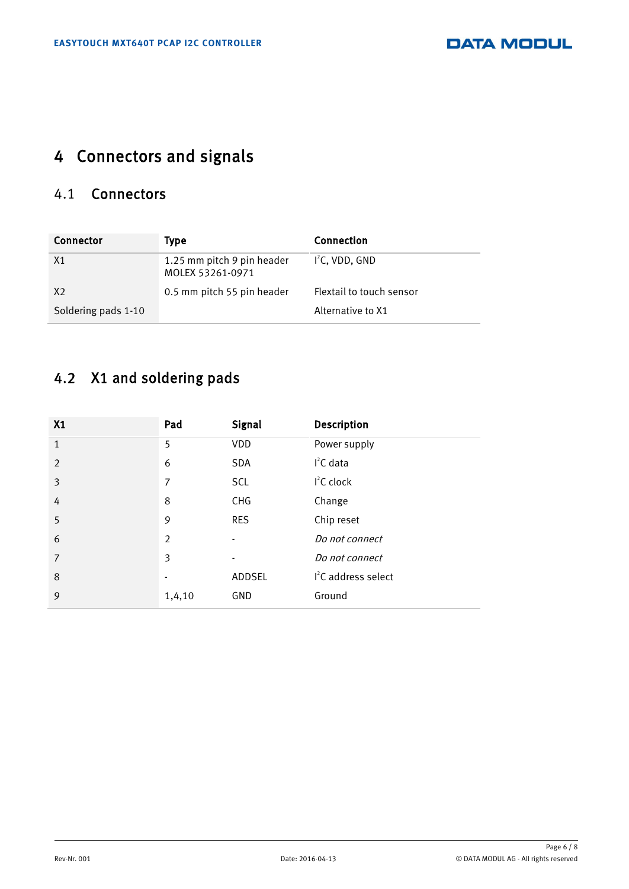## 4 Connectors and signals

### 4.1 Connectors

| Connector           | Type                                           | Connection               |
|---------------------|------------------------------------------------|--------------------------|
| X1                  | 1.25 mm pitch 9 pin header<br>MOLEX 53261-0971 | $I2C$ , VDD, GND         |
| X <sub>2</sub>      | 0.5 mm pitch 55 pin header                     | Flextail to touch sensor |
| Soldering pads 1-10 |                                                | Alternative to X1        |

## 4.2 X1 and soldering pads

| X1             | Pad            | Signal     | Description                     |
|----------------|----------------|------------|---------------------------------|
| $\mathbf{1}$   | 5              | VDD        | Power supply                    |
| $\overline{2}$ | 6              | <b>SDA</b> | $I2C$ data                      |
| 3              | 7              | SCL        | $I2C$ clock                     |
| 4              | 8              | <b>CHG</b> | Change                          |
| 5              | 9              | <b>RES</b> | Chip reset                      |
| 6              | $\overline{2}$ |            | Do not connect                  |
| 7              | 3              |            | Do not connect                  |
| 8              |                | ADDSEL     | I <sup>2</sup> C address select |
| 9              | 1,4,10         | GND        | Ground                          |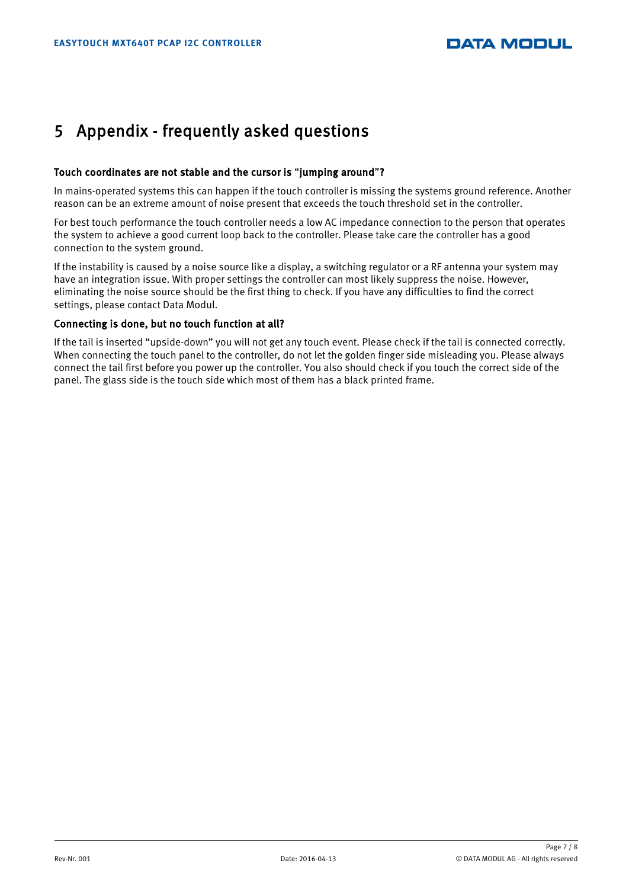### 5 Appendix - frequently asked questions

#### Touch coordinates are not stable and the cursor is "jumping around"?

In mains-operated systems this can happen if the touch controller is missing the systems ground reference. Another reason can be an extreme amount of noise present that exceeds the touch threshold set in the controller.

For best touch performance the touch controller needs a low AC impedance connection to the person that operates the system to achieve a good current loop back to the controller. Please take care the controller has a good connection to the system ground.

If the instability is caused by a noise source like a display, a switching regulator or a RF antenna your system may have an integration issue. With proper settings the controller can most likely suppress the noise. However, eliminating the noise source should be the first thing to check. If you have any difficulties to find the correct settings, please contact Data Modul.

#### Connecting is done, but no touch function at all?

If the tail is inserted "upside-down" you will not get any touch event. Please check if the tail is connected correctly. When connecting the touch panel to the controller, do not let the golden finger side misleading you. Please always connect the tail first before you power up the controller. You also should check if you touch the correct side of the panel. The glass side is the touch side which most of them has a black printed frame.